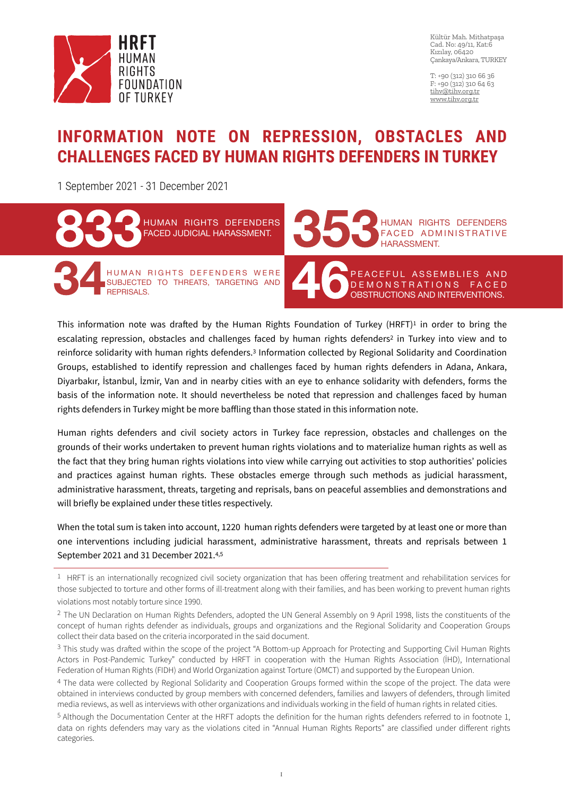

Kültür Mah. Mithatpaşa Cad. No: 49/11, Kat:6 Kızılay, 06420 Çankaya/Ankara, TURKEY

T: +90 (312) 310 66 36 F: +90 (312) 310 64 63 [tihv@tihv.org.tr](mailto:tihv@tihv.org.tr) [www.tihv.org.tr](http://www.tihv.org.tr)

#### **INFORMATION NOTE ON REPRESSION, OBSTACLES AND CHALLENGES FACED BY HUMAN RIGHTS DEFENDERS IN TURKEY**

1 September 2021 - 31 December 2021



This information note was drafted by the Human Rights Foundation of Turkey (HRFT)<sup>1</sup> in order to bring the escalating repression, obstacles and challenges faced by human rights defenders<sup>2</sup> in Turkey into view and to reinforce solidarity with human rights defenders.3 Information collected by Regional Solidarity and Coordination Groups, established to identify repression and challenges faced by human rights defenders in Adana, Ankara, Diyarbakır, İstanbul, İzmir, Van and in nearby cities with an eye to enhance solidarity with defenders, forms the basis of the information note. It should nevertheless be noted that repression and challenges faced by human rights defenders in Turkey might be more baffling than those stated in this information note.

Human rights defenders and civil society actors in Turkey face repression, obstacles and challenges on the grounds of their works undertaken to prevent human rights violations and to materialize human rights as well as the fact that they bring human rights violations into view while carrying out activities to stop authorities' policies and practices against human rights. These obstacles emerge through such methods as judicial harassment, administrative harassment, threats, targeting and reprisals, bans on peaceful assemblies and demonstrations and will briefly be explained under these titles respectively.

When the total sum is taken into account, 1220 human rights defenders were targeted by at least one or more than one interventions including judicial harassment, administrative harassment, threats and reprisals between 1 September 2021 and 31 December 2021.4,5

<sup>&</sup>lt;sup>1</sup> HRFT is an internationally recognized civil society organization that has been offering treatment and rehabilitation services for those subjected to torture and other forms of ill-treatment along with their families, and has been working to prevent human rights violations most notably torture since 1990.

<sup>&</sup>lt;sup>2</sup> The UN Declaration on Human Rights Defenders, adopted the UN General Assembly on 9 April 1998, lists the constituents of the concept of human rights defender as individuals, groups and organizations and the Regional Solidarity and Cooperation Groups collect their data based on the criteria incorporated in the said document.

<sup>3</sup> This study was drafted within the scope of the project "A Bottom-up Approach for Protecting and Supporting Civil Human Rights Actors in Post-Pandemic Turkey" conducted by HRFT in cooperation with the Human Rights Association (İHD), International Federation of Human Rights (FIDH) and World Organization against Torture (OMCT) and supported by the European Union.

<sup>4</sup> The data were collected by Regional Solidarity and Cooperation Groups formed within the scope of the project. The data were obtained in interviews conducted by group members with concerned defenders, families and lawyers of defenders, through limited media reviews, as well as interviews with other organizations and individuals working in the field of human rights in related cities.

<sup>5</sup> Although the Documentation Center at the HRFT adopts the definition for the human rights defenders referred to in footnote 1, data on rights defenders may vary as the violations cited in "Annual Human Rights Reports" are classified under different rights categories.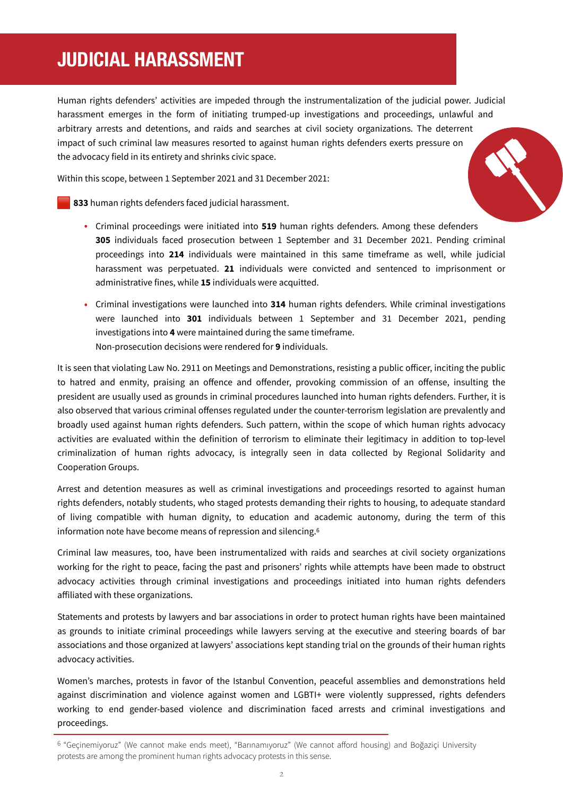## **JUDICIAL HARASSMENT**

Human rights defenders' activities are impeded through the instrumentalization of the judicial power. Judicial harassment emerges in the form of initiating trumped-up investigations and proceedings, unlawful and arbitrary arrests and detentions, and raids and searches at civil society organizations. The deterrent impact of such criminal law measures resorted to against human rights defenders exerts pressure on the advocacy field in its entirety and shrinks civic space.

Within this scope, between 1 September 2021 and 31 December 2021:

**833** human rights defenders faced judicial harassment.

- Criminal proceedings were initiated into **519** human rights defenders. Among these defenders **305** individuals faced prosecution between 1 September and 31 December 2021. Pending criminal proceedings into **214** individuals were maintained in this same timeframe as well, while judicial harassment was perpetuated. **21** individuals were convicted and sentenced to imprisonment or administrative fines, while **15** individuals were acquitted.
- Criminal investigations were launched into **314** human rights defenders. While criminal investigations were launched into **301** individuals between 1 September and 31 December 2021, pending investigations into **4** were maintained during the same timeframe. Non-prosecution decisions were rendered for **9** individuals.

It is seen that violating Law No. 2911 on Meetings and Demonstrations, resisting a public officer, inciting the public to hatred and enmity, praising an offence and offender, provoking commission of an offense, insulting the president are usually used as grounds in criminal procedures launched into human rights defenders. Further, it is also observed that various criminal offenses regulated under the counter-terrorism legislation are prevalently and broadly used against human rights defenders. Such pattern, within the scope of which human rights advocacy activities are evaluated within the definition of terrorism to eliminate their legitimacy in addition to top-level criminalization of human rights advocacy, is integrally seen in data collected by Regional Solidarity and Cooperation Groups.

Arrest and detention measures as well as criminal investigations and proceedings resorted to against human rights defenders, notably students, who staged protests demanding their rights to housing, to adequate standard of living compatible with human dignity, to education and academic autonomy, during the term of this information note have become means of repression and silencing.6

Criminal law measures, too, have been instrumentalized with raids and searches at civil society organizations working for the right to peace, facing the past and prisoners' rights while attempts have been made to obstruct advocacy activities through criminal investigations and proceedings initiated into human rights defenders affiliated with these organizations.

Statements and protests by lawyers and bar associations in order to protect human rights have been maintained as grounds to initiate criminal proceedings while lawyers serving at the executive and steering boards of bar associations and those organized at lawyers' associations kept standing trial on the grounds of their human rights advocacy activities.

Women's marches, protests in favor of the Istanbul Convention, peaceful assemblies and demonstrations held against discrimination and violence against women and LGBTI+ were violently suppressed, rights defenders working to end gender-based violence and discrimination faced arrests and criminal investigations and proceedings.

<sup>6</sup> "Geçinemiyoruz" (We cannot make ends meet), "Barınamıyoruz" (We cannot afford housing) and Boğaziçi University protests are among the prominent human rights advocacy protests in this sense.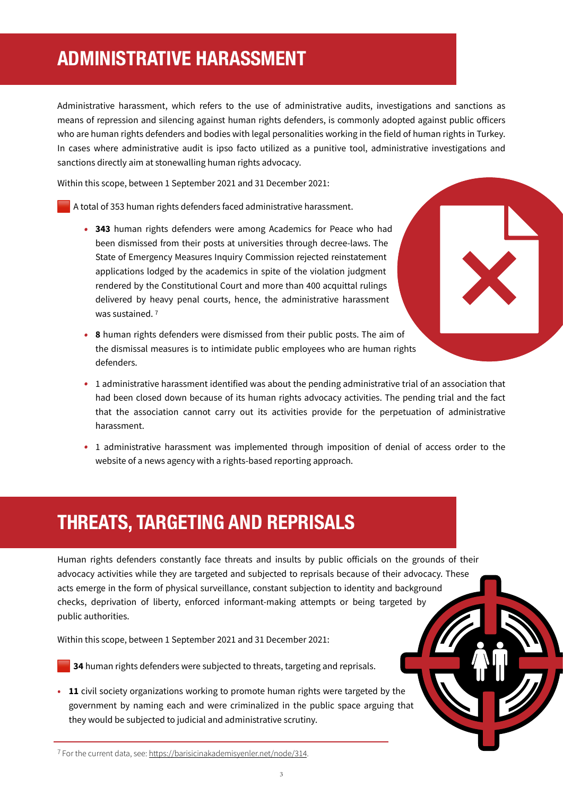## **ADMINISTRATIVE HARASSMENT**

Administrative harassment, which refers to the use of administrative audits, investigations and sanctions as means of repression and silencing against human rights defenders, is commonly adopted against public officers who are human rights defenders and bodies with legal personalities working in the field of human rights in Turkey. In cases where administrative audit is ipso facto utilized as a punitive tool, administrative investigations and sanctions directly aim at stonewalling human rights advocacy.

Within this scope, between 1 September 2021 and 31 December 2021:

A total of 353 human rights defenders faced administrative harassment.

- *•* **343** human rights defenders were among Academics for Peace who had been dismissed from their posts at universities through decree-laws. The State of Emergency Measures Inquiry Commission rejected reinstatement applications lodged by the academics in spite of the violation judgment rendered by the Constitutional Court and more than 400 acquittal rulings delivered by heavy penal courts, hence, the administrative harassment was sustained. 7
- *•* **8** human rights defenders were dismissed from their public posts. The aim of the dismissal measures is to intimidate public employees who are human rights defenders.
- *•* 1 administrative harassment identified was about the pending administrative trial of an association that had been closed down because of its human rights advocacy activities. The pending trial and the fact that the association cannot carry out its activities provide for the perpetuation of administrative harassment.
- 1 administrative harassment was implemented through imposition of denial of access order to the website of a news agency with a rights-based reporting approach.

#### **THREATS, TARGETING AND REPRISALS**

Human rights defenders constantly face threats and insults by public officials on the grounds of their advocacy activities while they are targeted and subjected to reprisals because of their advocacy. These acts emerge in the form of physical surveillance, constant subjection to identity and background checks, deprivation of liberty, enforced informant-making attempts or being targeted by public authorities.

Within this scope, between 1 September 2021 and 31 December 2021:

**34** human rights defenders were subjected to threats, targeting and reprisals.

• **11** civil society organizations working to promote human rights were targeted by the government by naming each and were criminalized in the public space arguing that they would be subjected to judicial and administrative scrutiny.

7 For the current data, see: [https://barisicinakademisyenler.net/node/314.](https://barisicinakademisyenler.net/node/314)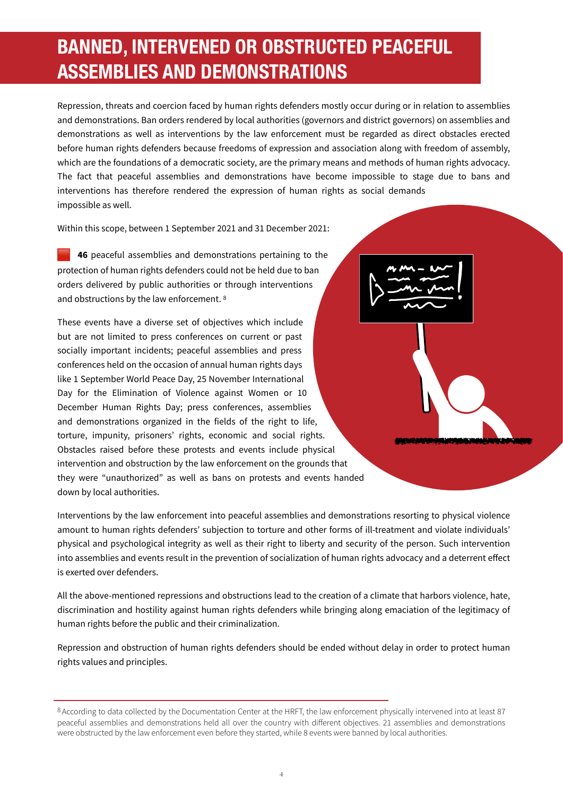# **BANNED, INTERVENED OR OBSTRUCTED PEACEFUL ASSEMBLIES AND DEMONSTRATIONS**

Repression, threats and coercion faced by human rights defenders mostly occur during or in relation to assemblies and demonstrations. Ban orders rendered by local authorities (governors and district governors) on assemblies and demonstrations as well as interventions by the law enforcement must be regarded as direct obstacles erected before human rights defenders because freedoms of expression and association along with freedom of assembly, which are the foundations of a democratic society, are the primary means and methods of human rights advocacy. The fact that peaceful assemblies and demonstrations have become impossible to stage due to bans and interventions has therefore rendered the expression of human rights as social demands impossible as well.

Within this scope, between 1 September 2021 and 31 December 2021:

 **46** peaceful assemblies and demonstrations pertaining to the protection of human rights defenders could not be held due to ban orders delivered by public authorities or through interventions and obstructions by the law enforcement.<sup>8</sup>

These events have a diverse set of objectives which include but are not limited to press conferences on current or past socially important incidents; peaceful assemblies and press conferences held on the occasion of annual human rights days like 1 September World Peace Day, 25 November International Day for the Elimination of Violence against Women or 10 December Human Rights Day; press conferences, assemblies and demonstrations organized in the fields of the right to life, torture, impunity, prisoners' rights, economic and social rights. Obstacles raised before these protests and events include physical intervention and obstruction by the law enforcement on the grounds that they were "unauthorized" as well as bans on protests and events handed down by local authorities.

Interventions by the law enforcement into peaceful assemblies and demonstrations resorting to physical violence amount to human rights defenders' subjection to torture and other forms of ill-treatment and violate individuals' physical and psychological integrity as well as their right to liberty and security of the person. Such intervention into assemblies and events result in the prevention of socialization of human rights advocacy and a deterrent effect is exerted over defenders.

All the above-mentioned repressions and obstructions lead to the creation of a climate that harbors violence, hate, discrimination and hostility against human rights defenders while bringing along emaciation of the legitimacy of human rights before the public and their criminalization.

Repression and obstruction of human rights defenders should be ended without delay in order to protect human rights values and principles.

<sup>8</sup> According to data collected by the Documentation Center at the HRFT, the law enforcement physically intervened into at least 87 peaceful assemblies and demonstrations held all over the country with different objectives. 21 assemblies and demonstrations were obstructed by the law enforcement even before they started, while 8 events were banned by local authorities.